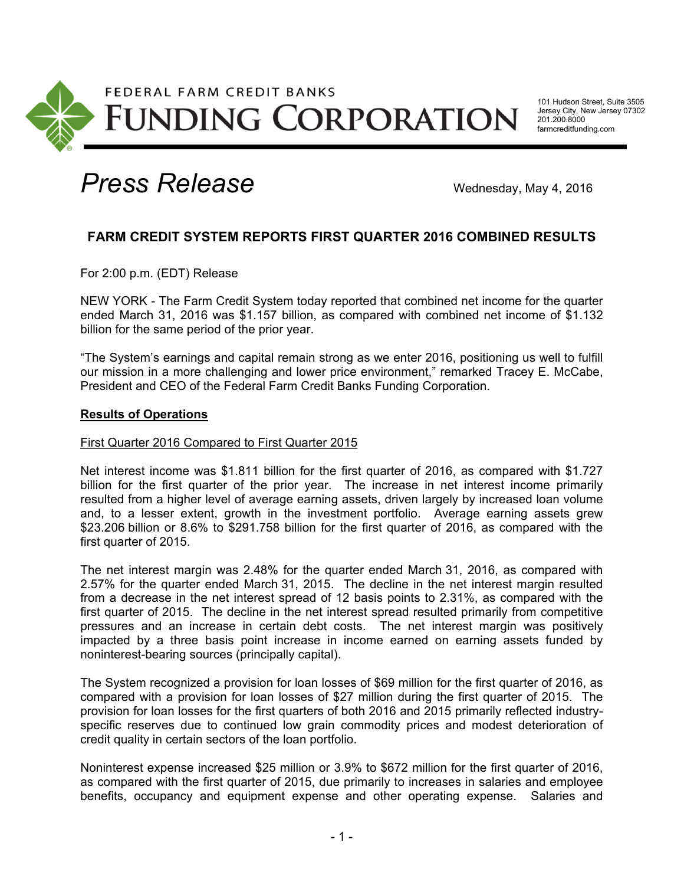

FEDERAL FARM CREDIT BANKS **FUNDING CORPORATION** 

101 Hudson Street, Suite 3505 Jersey City, New Jersey 07302 201.200.8000 farmcreditfunding.com

# **Press Release** Wednesday, May 4, 2016

# **FARM CREDIT SYSTEM REPORTS FIRST QUARTER 2016 COMBINED RESULTS**

For 2:00 p.m. (EDT) Release

NEW YORK - The Farm Credit System today reported that combined net income for the quarter ended March 31, 2016 was \$1.157 billion, as compared with combined net income of \$1.132 billion for the same period of the prior year.

"The System's earnings and capital remain strong as we enter 2016, positioning us well to fulfill our mission in a more challenging and lower price environment," remarked Tracey E. McCabe, President and CEO of the Federal Farm Credit Banks Funding Corporation.

#### **Results of Operations**

#### First Quarter 2016 Compared to First Quarter 2015

Net interest income was \$1.811 billion for the first quarter of 2016, as compared with \$1.727 billion for the first quarter of the prior year. The increase in net interest income primarily resulted from a higher level of average earning assets, driven largely by increased loan volume and, to a lesser extent, growth in the investment portfolio. Average earning assets grew \$23.206 billion or 8.6% to \$291.758 billion for the first quarter of 2016, as compared with the first quarter of 2015.

The net interest margin was 2.48% for the quarter ended March 31, 2016, as compared with 2.57% for the quarter ended March 31, 2015. The decline in the net interest margin resulted from a decrease in the net interest spread of 12 basis points to 2.31%, as compared with the first quarter of 2015. The decline in the net interest spread resulted primarily from competitive pressures and an increase in certain debt costs. The net interest margin was positively impacted by a three basis point increase in income earned on earning assets funded by noninterest-bearing sources (principally capital).

The System recognized a provision for loan losses of \$69 million for the first quarter of 2016, as compared with a provision for loan losses of \$27 million during the first quarter of 2015. The provision for loan losses for the first quarters of both 2016 and 2015 primarily reflected industryspecific reserves due to continued low grain commodity prices and modest deterioration of credit quality in certain sectors of the loan portfolio.

Noninterest expense increased \$25 million or 3.9% to \$672 million for the first quarter of 2016, as compared with the first quarter of 2015, due primarily to increases in salaries and employee benefits, occupancy and equipment expense and other operating expense. Salaries and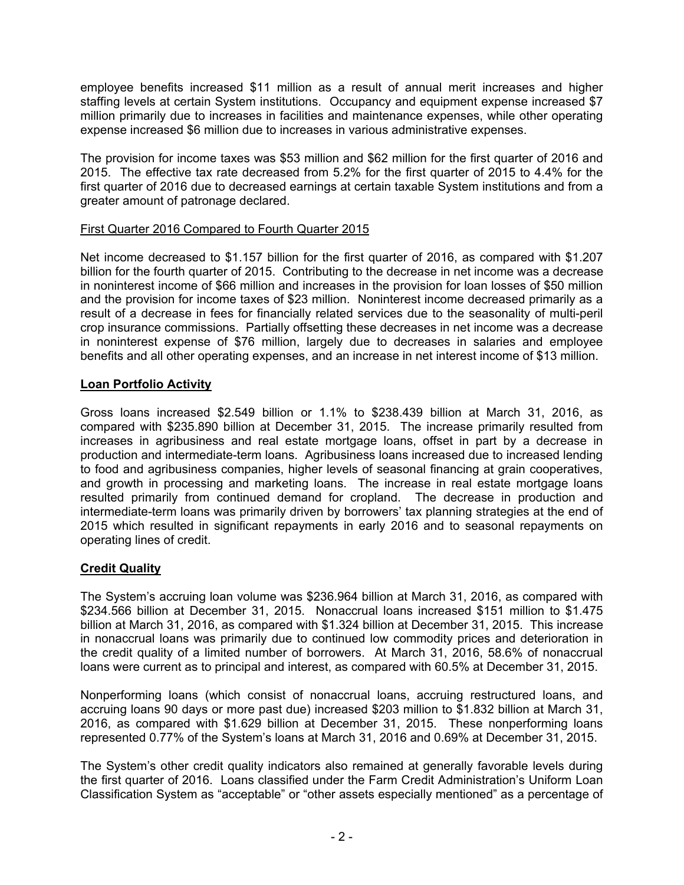employee benefits increased \$11 million as a result of annual merit increases and higher staffing levels at certain System institutions. Occupancy and equipment expense increased \$7 million primarily due to increases in facilities and maintenance expenses, while other operating expense increased \$6 million due to increases in various administrative expenses.

The provision for income taxes was \$53 million and \$62 million for the first quarter of 2016 and 2015. The effective tax rate decreased from 5.2% for the first quarter of 2015 to 4.4% for the first quarter of 2016 due to decreased earnings at certain taxable System institutions and from a greater amount of patronage declared.

#### First Quarter 2016 Compared to Fourth Quarter 2015

Net income decreased to \$1.157 billion for the first quarter of 2016, as compared with \$1.207 billion for the fourth quarter of 2015. Contributing to the decrease in net income was a decrease in noninterest income of \$66 million and increases in the provision for loan losses of \$50 million and the provision for income taxes of \$23 million. Noninterest income decreased primarily as a result of a decrease in fees for financially related services due to the seasonality of multi-peril crop insurance commissions. Partially offsetting these decreases in net income was a decrease in noninterest expense of \$76 million, largely due to decreases in salaries and employee benefits and all other operating expenses, and an increase in net interest income of \$13 million.

## **Loan Portfolio Activity**

Gross loans increased \$2.549 billion or 1.1% to \$238.439 billion at March 31, 2016, as compared with \$235.890 billion at December 31, 2015. The increase primarily resulted from increases in agribusiness and real estate mortgage loans, offset in part by a decrease in production and intermediate-term loans. Agribusiness loans increased due to increased lending to food and agribusiness companies, higher levels of seasonal financing at grain cooperatives, and growth in processing and marketing loans. The increase in real estate mortgage loans resulted primarily from continued demand for cropland. The decrease in production and intermediate-term loans was primarily driven by borrowers' tax planning strategies at the end of 2015 which resulted in significant repayments in early 2016 and to seasonal repayments on operating lines of credit.

## **Credit Quality**

The System's accruing loan volume was \$236.964 billion at March 31, 2016, as compared with \$234.566 billion at December 31, 2015. Nonaccrual loans increased \$151 million to \$1.475 billion at March 31, 2016, as compared with \$1.324 billion at December 31, 2015. This increase in nonaccrual loans was primarily due to continued low commodity prices and deterioration in the credit quality of a limited number of borrowers. At March 31, 2016, 58.6% of nonaccrual loans were current as to principal and interest, as compared with 60.5% at December 31, 2015.

Nonperforming loans (which consist of nonaccrual loans, accruing restructured loans, and accruing loans 90 days or more past due) increased \$203 million to \$1.832 billion at March 31, 2016, as compared with \$1.629 billion at December 31, 2015. These nonperforming loans represented 0.77% of the System's loans at March 31, 2016 and 0.69% at December 31, 2015.

The System's other credit quality indicators also remained at generally favorable levels during the first quarter of 2016. Loans classified under the Farm Credit Administration's Uniform Loan Classification System as "acceptable" or "other assets especially mentioned" as a percentage of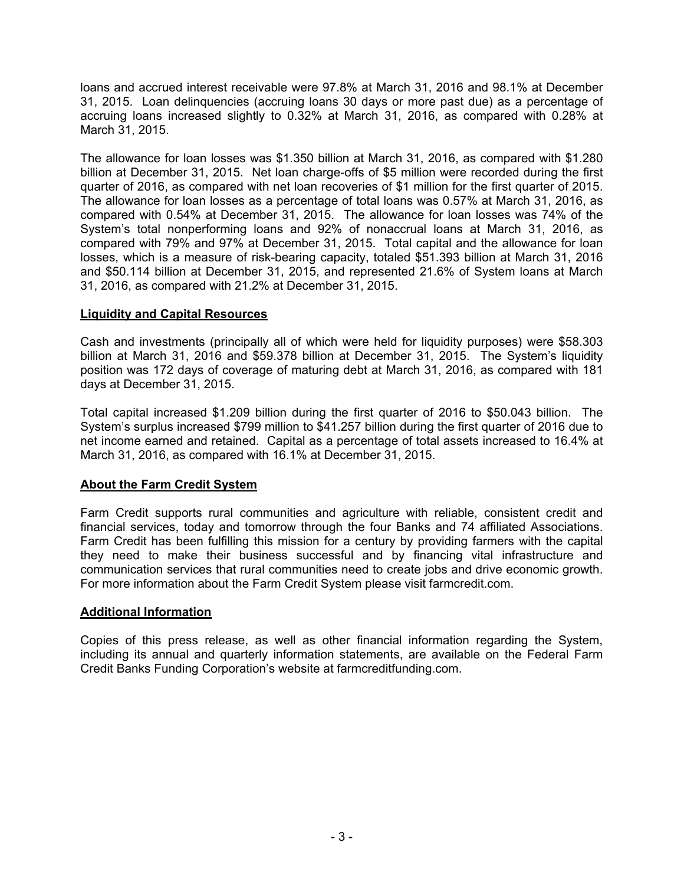loans and accrued interest receivable were 97.8% at March 31, 2016 and 98.1% at December 31, 2015. Loan delinquencies (accruing loans 30 days or more past due) as a percentage of accruing loans increased slightly to 0.32% at March 31, 2016, as compared with 0.28% at March 31, 2015.

The allowance for loan losses was \$1.350 billion at March 31, 2016, as compared with \$1.280 billion at December 31, 2015. Net loan charge-offs of \$5 million were recorded during the first quarter of 2016, as compared with net loan recoveries of \$1 million for the first quarter of 2015. The allowance for loan losses as a percentage of total loans was 0.57% at March 31, 2016, as compared with 0.54% at December 31, 2015. The allowance for loan losses was 74% of the System's total nonperforming loans and 92% of nonaccrual loans at March 31, 2016, as compared with 79% and 97% at December 31, 2015. Total capital and the allowance for loan losses, which is a measure of risk-bearing capacity, totaled \$51.393 billion at March 31, 2016 and \$50.114 billion at December 31, 2015, and represented 21.6% of System loans at March 31, 2016, as compared with 21.2% at December 31, 2015.

#### **Liquidity and Capital Resources**

Cash and investments (principally all of which were held for liquidity purposes) were \$58.303 billion at March 31, 2016 and \$59.378 billion at December 31, 2015. The System's liquidity position was 172 days of coverage of maturing debt at March 31, 2016, as compared with 181 days at December 31, 2015.

Total capital increased \$1.209 billion during the first quarter of 2016 to \$50.043 billion. The System's surplus increased \$799 million to \$41.257 billion during the first quarter of 2016 due to net income earned and retained. Capital as a percentage of total assets increased to 16.4% at March 31, 2016, as compared with 16.1% at December 31, 2015.

#### **About the Farm Credit System**

Farm Credit supports rural communities and agriculture with reliable, consistent credit and financial services, today and tomorrow through the four Banks and 74 affiliated Associations. Farm Credit has been fulfilling this mission for a century by providing farmers with the capital they need to make their business successful and by financing vital infrastructure and communication services that rural communities need to create jobs and drive economic growth. For more information about the Farm Credit System please visit farmcredit.com.

#### **Additional Information**

Copies of this press release, as well as other financial information regarding the System, including its annual and quarterly information statements, are available on the Federal Farm Credit Banks Funding Corporation's website at farmcreditfunding.com.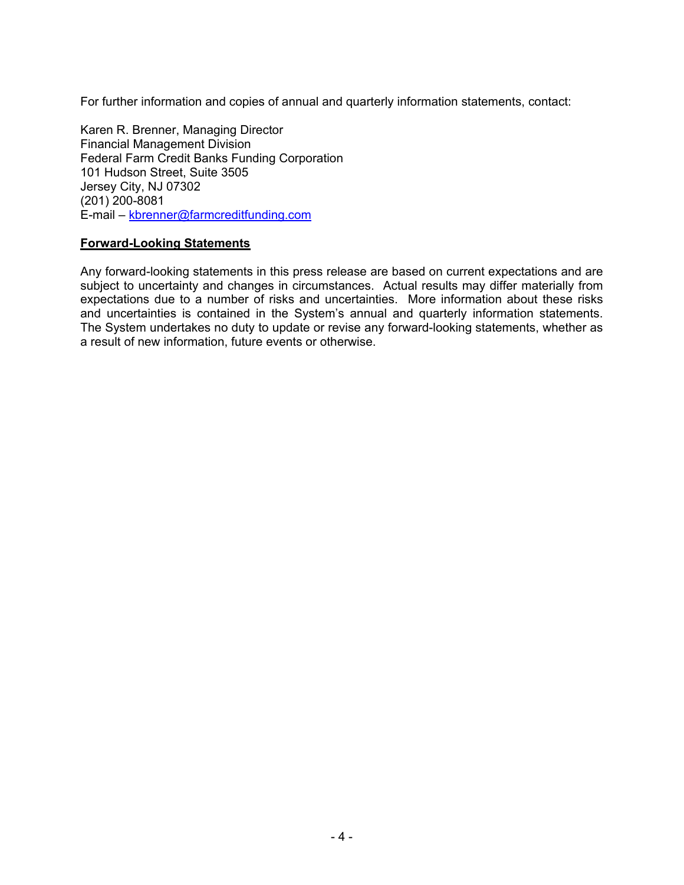For further information and copies of annual and quarterly information statements, contact:

Karen R. Brenner, Managing Director Financial Management Division Federal Farm Credit Banks Funding Corporation 101 Hudson Street, Suite 3505 Jersey City, NJ 07302 (201) 200-8081 E-mail – kbrenner@farmcreditfunding.com

#### **Forward-Looking Statements**

Any forward-looking statements in this press release are based on current expectations and are subject to uncertainty and changes in circumstances. Actual results may differ materially from expectations due to a number of risks and uncertainties. More information about these risks and uncertainties is contained in the System's annual and quarterly information statements. The System undertakes no duty to update or revise any forward-looking statements, whether as a result of new information, future events or otherwise.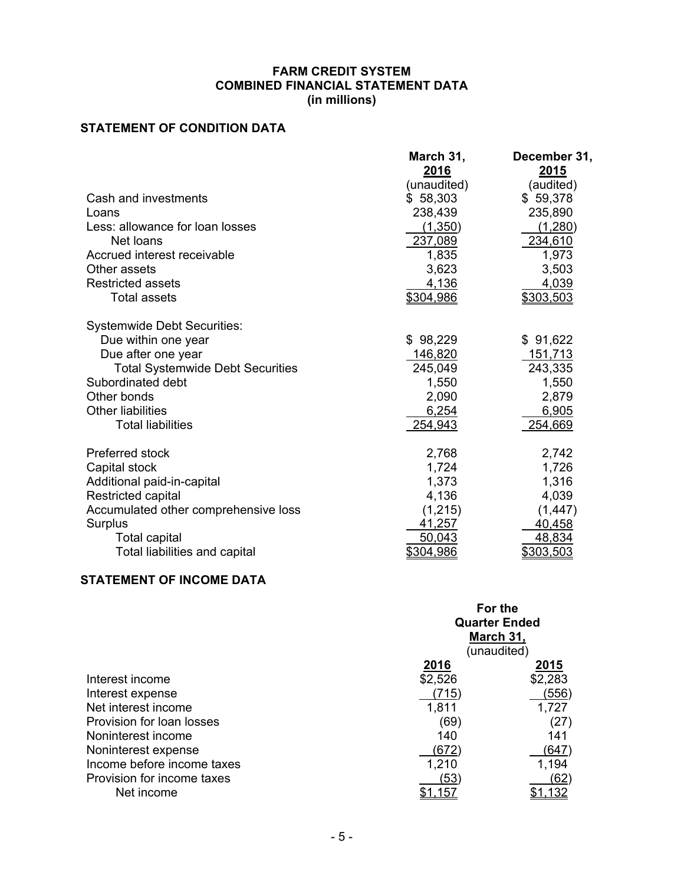## **FARM CREDIT SYSTEM COMBINED FINANCIAL STATEMENT DATA (in millions)**

# **STATEMENT OF CONDITION DATA**

|                                         | March 31,   | December 31, |
|-----------------------------------------|-------------|--------------|
|                                         | 2016        | 2015         |
|                                         | (unaudited) | (audited)    |
| Cash and investments                    | \$58,303    | \$59,378     |
| Loans                                   | 238,439     | 235,890      |
| Less: allowance for loan losses         | (1,350)     | (1,280)      |
| Net loans                               | 237,089     | 234,610      |
| Accrued interest receivable             | 1,835       | 1,973        |
| Other assets                            | 3,623       | 3,503        |
| <b>Restricted assets</b>                | 4,136       | 4,039        |
| <b>Total assets</b>                     | \$304,986   | \$303,503    |
| <b>Systemwide Debt Securities:</b>      |             |              |
| Due within one year                     | \$98,229    | \$91,622     |
| Due after one year                      | 146,820     | 151,713      |
| <b>Total Systemwide Debt Securities</b> | 245,049     | 243,335      |
| Subordinated debt                       | 1,550       | 1,550        |
| Other bonds                             | 2,090       | 2,879        |
| <b>Other liabilities</b>                | 6,254       | 6,905        |
| <b>Total liabilities</b>                | 254,943     | 254,669      |
| Preferred stock                         | 2,768       | 2,742        |
| Capital stock                           | 1,724       | 1,726        |
| Additional paid-in-capital              | 1,373       | 1,316        |
| Restricted capital                      | 4,136       | 4,039        |
| Accumulated other comprehensive loss    | (1,215)     | (1, 447)     |
| Surplus                                 | 41,257      | 40,458       |
| Total capital                           | 50,043      | 48,834       |
| Total liabilities and capital           | \$304,986   | \$303,503    |

# **STATEMENT OF INCOME DATA**

|                            |             | For the<br><b>Quarter Ended</b><br>March 31,<br>(unaudited) |  |  |
|----------------------------|-------------|-------------------------------------------------------------|--|--|
|                            | <u>2016</u> | 2015                                                        |  |  |
| Interest income            | \$2,526     | \$2,283                                                     |  |  |
| Interest expense           | (715)       | (556)                                                       |  |  |
| Net interest income        | 1,811       | 1,727                                                       |  |  |
| Provision for loan losses  | (69)        | (27)                                                        |  |  |
| Noninterest income         | 140         | 141                                                         |  |  |
| Noninterest expense        | (672)       | (647)                                                       |  |  |
| Income before income taxes | 1,210       | 1,194                                                       |  |  |
| Provision for income taxes | (53)        | (62)                                                        |  |  |
| Net income                 |             |                                                             |  |  |